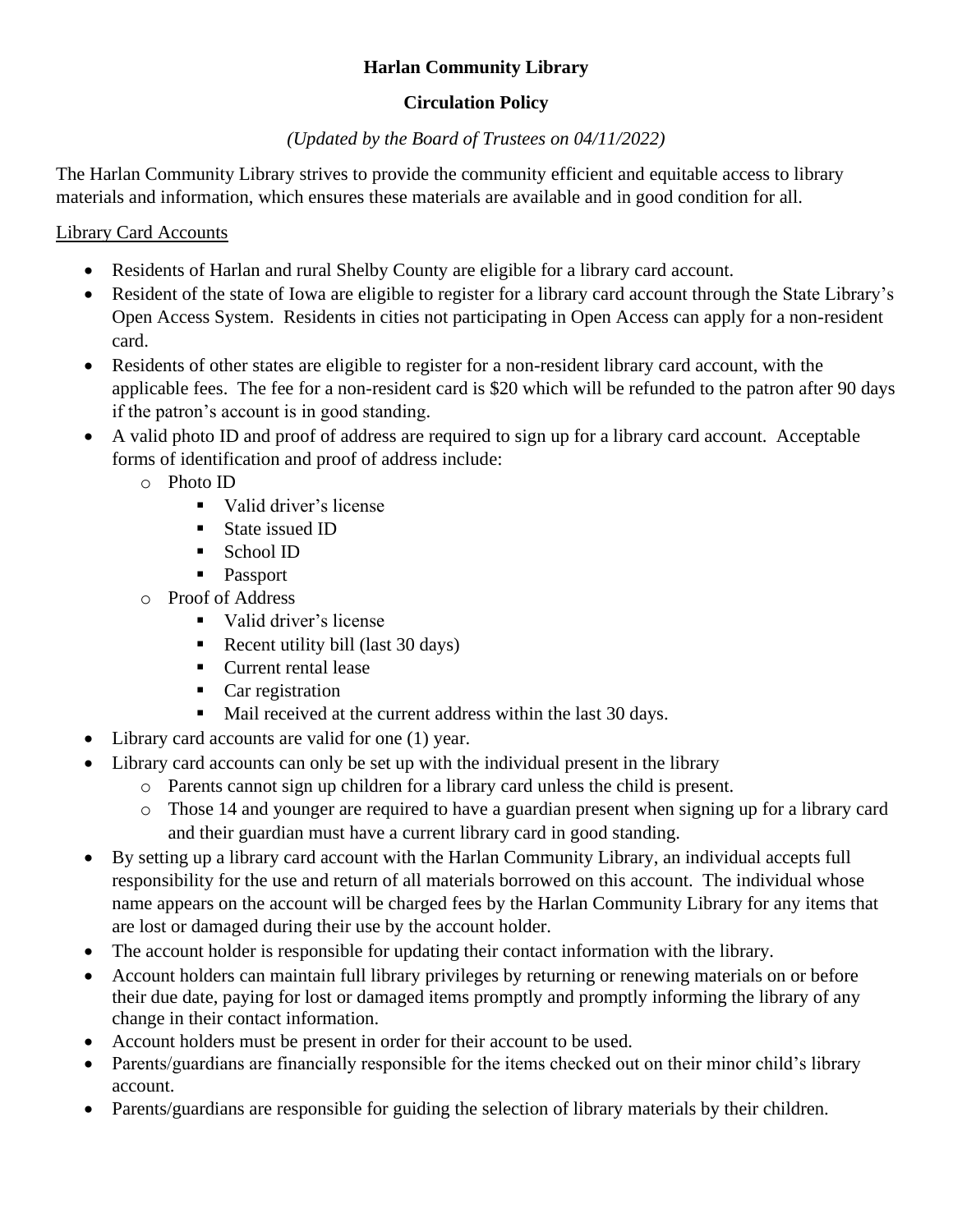## **Harlan Community Library**

## **Circulation Policy**

## *(Updated by the Board of Trustees on 04/11/2022)*

The Harlan Community Library strives to provide the community efficient and equitable access to library materials and information, which ensures these materials are available and in good condition for all.

### Library Card Accounts

- Residents of Harlan and rural Shelby County are eligible for a library card account.
- Resident of the state of Iowa are eligible to register for a library card account through the State Library's Open Access System. Residents in cities not participating in Open Access can apply for a non-resident card.
- Residents of other states are eligible to register for a non-resident library card account, with the applicable fees. The fee for a non-resident card is \$20 which will be refunded to the patron after 90 days if the patron's account is in good standing.
- A valid photo ID and proof of address are required to sign up for a library card account. Acceptable forms of identification and proof of address include:
	- o Photo ID
		- Valid driver's license
		- State issued ID
		- School ID
		- Passport
	- o Proof of Address
		- Valid driver's license
		- Recent utility bill (last 30 days)
		- Current rental lease
		- Car registration
		- Mail received at the current address within the last 30 days.
- Library card accounts are valid for one (1) year.
- Library card accounts can only be set up with the individual present in the library
	- o Parents cannot sign up children for a library card unless the child is present.
	- o Those 14 and younger are required to have a guardian present when signing up for a library card and their guardian must have a current library card in good standing.
- By setting up a library card account with the Harlan Community Library, an individual accepts full responsibility for the use and return of all materials borrowed on this account. The individual whose name appears on the account will be charged fees by the Harlan Community Library for any items that are lost or damaged during their use by the account holder.
- The account holder is responsible for updating their contact information with the library.
- Account holders can maintain full library privileges by returning or renewing materials on or before their due date, paying for lost or damaged items promptly and promptly informing the library of any change in their contact information.
- Account holders must be present in order for their account to be used.
- Parents/guardians are financially responsible for the items checked out on their minor child's library account.
- Parents/guardians are responsible for guiding the selection of library materials by their children.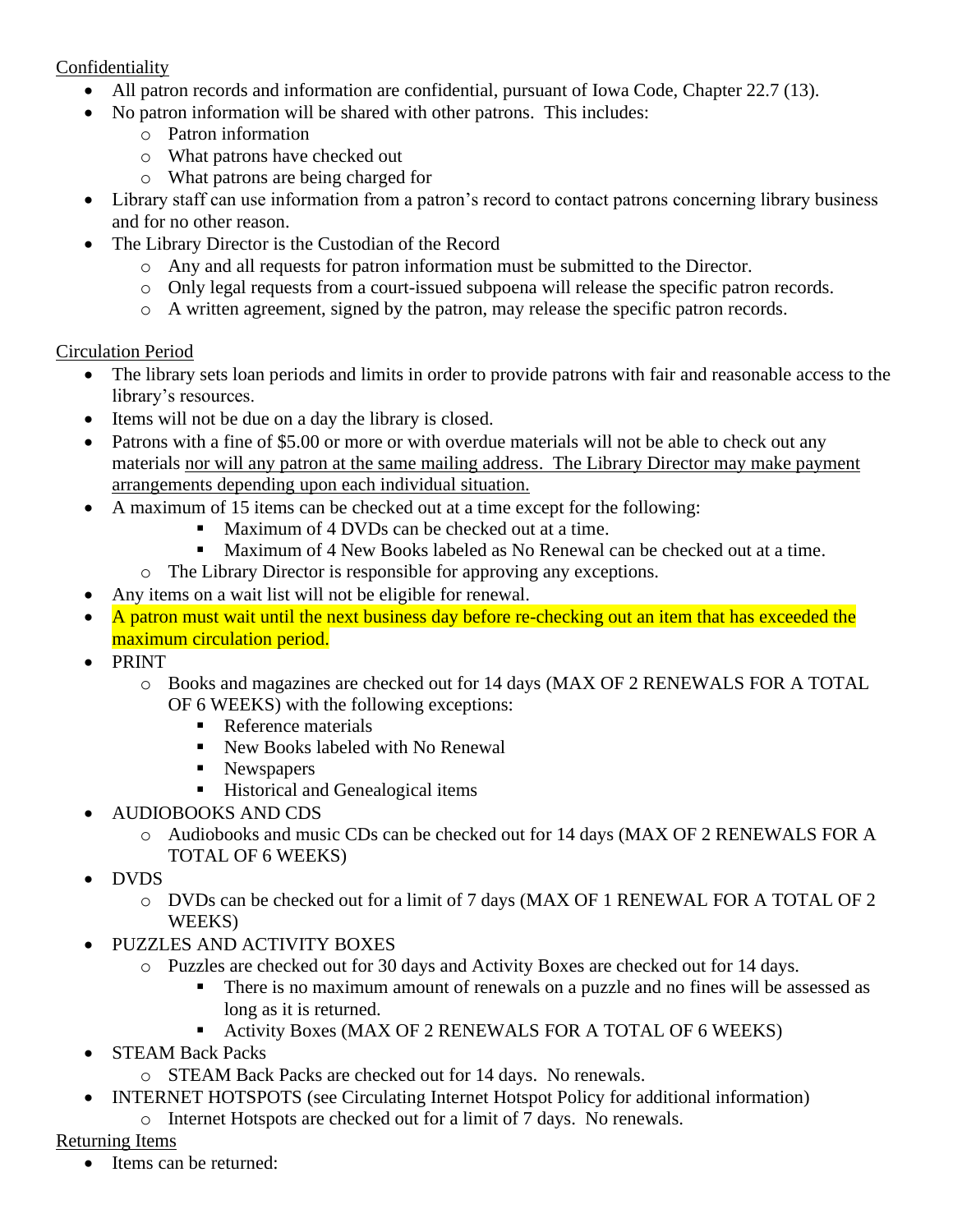#### Confidentiality

- All patron records and information are confidential, pursuant of Iowa Code, Chapter 22.7 (13).
- No patron information will be shared with other patrons. This includes:
	- o Patron information
	- o What patrons have checked out
	- o What patrons are being charged for
- Library staff can use information from a patron's record to contact patrons concerning library business and for no other reason.
- The Library Director is the Custodian of the Record
	- o Any and all requests for patron information must be submitted to the Director.
	- o Only legal requests from a court-issued subpoena will release the specific patron records.
	- o A written agreement, signed by the patron, may release the specific patron records.

### Circulation Period

- The library sets loan periods and limits in order to provide patrons with fair and reasonable access to the library's resources.
- Items will not be due on a day the library is closed.
- Patrons with a fine of \$5.00 or more or with overdue materials will not be able to check out any materials nor will any patron at the same mailing address. The Library Director may make payment arrangements depending upon each individual situation.
- A maximum of 15 items can be checked out at a time except for the following:
	- Maximum of 4 DVDs can be checked out at a time.
	- Maximum of 4 New Books labeled as No Renewal can be checked out at a time.
	- o The Library Director is responsible for approving any exceptions.
- Any items on a wait list will not be eligible for renewal.
- A patron must wait until the next business day before re-checking out an item that has exceeded the maximum circulation period.
- PRINT
	- o Books and magazines are checked out for 14 days (MAX OF 2 RENEWALS FOR A TOTAL OF 6 WEEKS) with the following exceptions:
		- Reference materials
		- New Books labeled with No Renewal
		- Newspapers
		- Historical and Genealogical items
- AUDIOBOOKS AND CDS
	- o Audiobooks and music CDs can be checked out for 14 days (MAX OF 2 RENEWALS FOR A TOTAL OF 6 WEEKS)
- DVDS
	- o DVDs can be checked out for a limit of 7 days (MAX OF 1 RENEWAL FOR A TOTAL OF 2 WEEKS)
	- PUZZLES AND ACTIVITY BOXES
		- o Puzzles are checked out for 30 days and Activity Boxes are checked out for 14 days.
			- **•** There is no maximum amount of renewals on a puzzle and no fines will be assessed as long as it is returned.
			- Activity Boxes (MAX OF 2 RENEWALS FOR A TOTAL OF 6 WEEKS)
- STEAM Back Packs
	- o STEAM Back Packs are checked out for 14 days. No renewals.
- INTERNET HOTSPOTS (see Circulating Internet Hotspot Policy for additional information)
	- o Internet Hotspots are checked out for a limit of 7 days. No renewals.

## Returning Items

Items can be returned: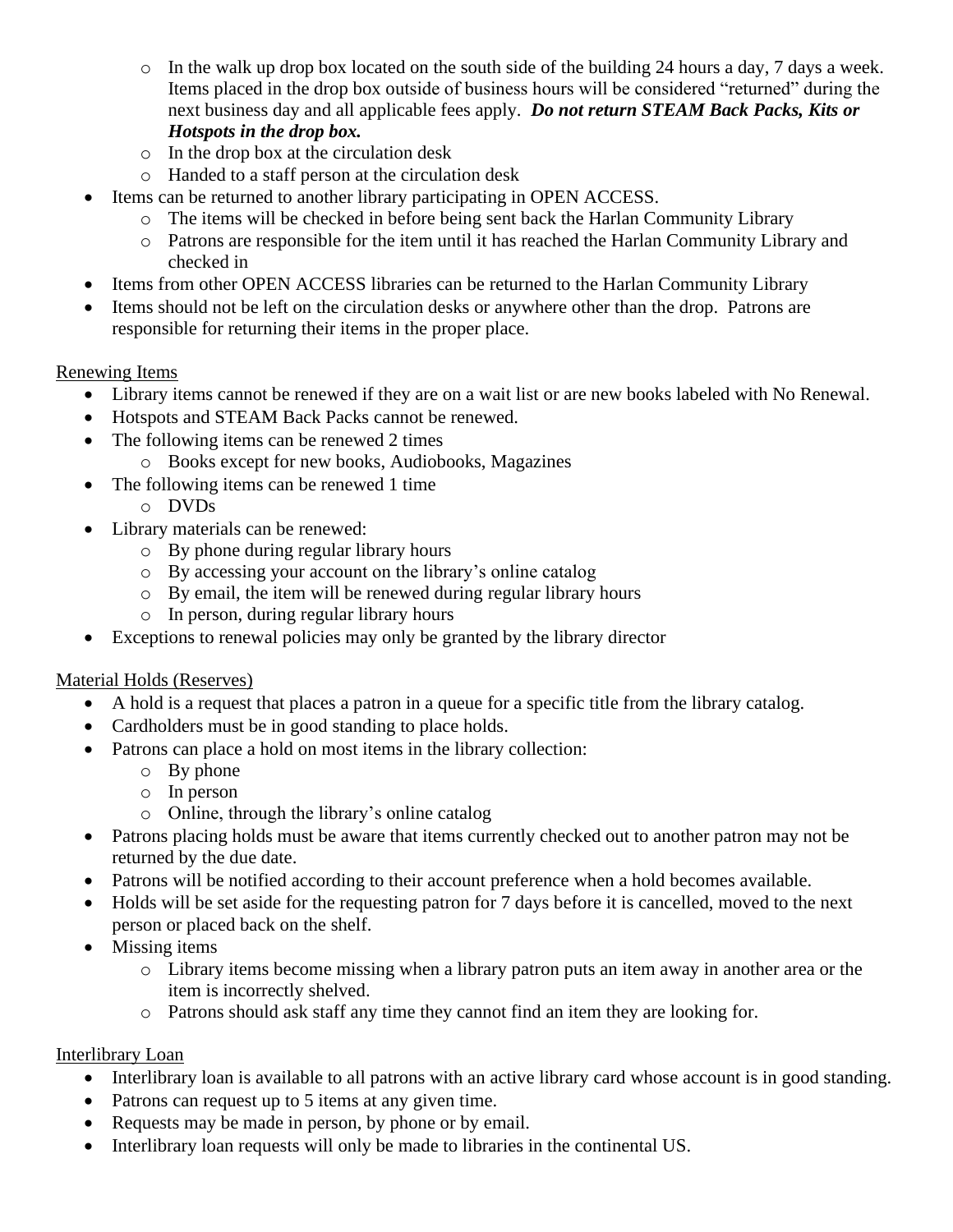- $\circ$  In the walk up drop box located on the south side of the building 24 hours a day, 7 days a week. Items placed in the drop box outside of business hours will be considered "returned" during the next business day and all applicable fees apply. *Do not return STEAM Back Packs, Kits or Hotspots in the drop box.*
- o In the drop box at the circulation desk
- o Handed to a staff person at the circulation desk
- Items can be returned to another library participating in OPEN ACCESS.
	- o The items will be checked in before being sent back the Harlan Community Library
	- o Patrons are responsible for the item until it has reached the Harlan Community Library and checked in
- Items from other OPEN ACCESS libraries can be returned to the Harlan Community Library
- Items should not be left on the circulation desks or anywhere other than the drop. Patrons are responsible for returning their items in the proper place.

# Renewing Items

- Library items cannot be renewed if they are on a wait list or are new books labeled with No Renewal.
- Hotspots and STEAM Back Packs cannot be renewed.
- The following items can be renewed 2 times
	- o Books except for new books, Audiobooks, Magazines
- The following items can be renewed 1 time
	- o DVDs
- Library materials can be renewed:
	- o By phone during regular library hours
	- o By accessing your account on the library's online catalog
	- o By email, the item will be renewed during regular library hours
	- o In person, during regular library hours
- Exceptions to renewal policies may only be granted by the library director

# Material Holds (Reserves)

- A hold is a request that places a patron in a queue for a specific title from the library catalog.
- Cardholders must be in good standing to place holds.
- Patrons can place a hold on most items in the library collection:
	- o By phone
	- o In person
	- o Online, through the library's online catalog
- Patrons placing holds must be aware that items currently checked out to another patron may not be returned by the due date.
- Patrons will be notified according to their account preference when a hold becomes available.
- Holds will be set aside for the requesting patron for 7 days before it is cancelled, moved to the next person or placed back on the shelf.
- Missing items
	- o Library items become missing when a library patron puts an item away in another area or the item is incorrectly shelved.
	- o Patrons should ask staff any time they cannot find an item they are looking for.

### Interlibrary Loan

- Interlibrary loan is available to all patrons with an active library card whose account is in good standing.
- Patrons can request up to 5 items at any given time.
- Requests may be made in person, by phone or by email.
- Interlibrary loan requests will only be made to libraries in the continental US.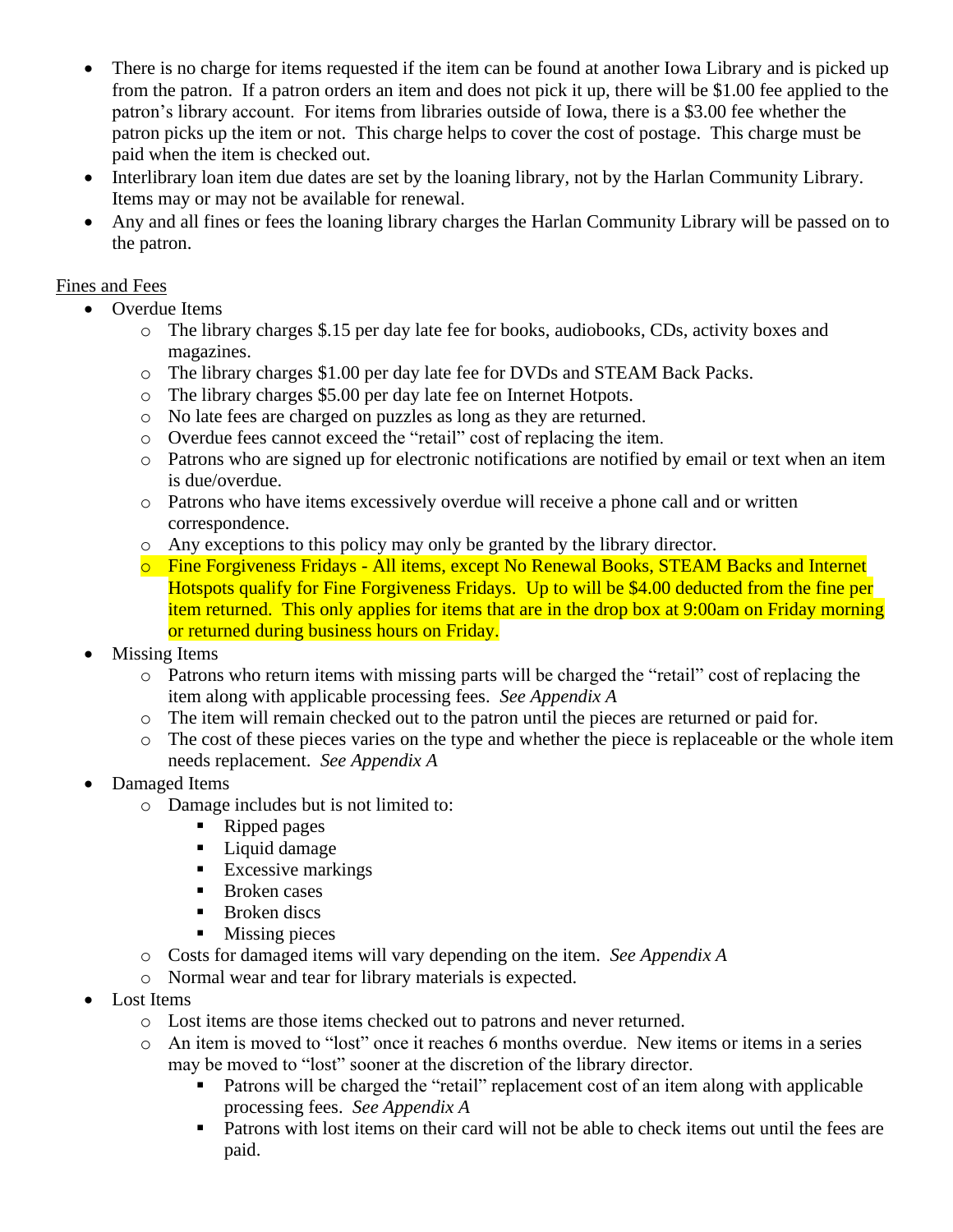- There is no charge for items requested if the item can be found at another Iowa Library and is picked up from the patron. If a patron orders an item and does not pick it up, there will be \$1.00 fee applied to the patron's library account. For items from libraries outside of Iowa, there is a \$3.00 fee whether the patron picks up the item or not. This charge helps to cover the cost of postage. This charge must be paid when the item is checked out.
- Interlibrary loan item due dates are set by the loaning library, not by the Harlan Community Library. Items may or may not be available for renewal.
- Any and all fines or fees the loaning library charges the Harlan Community Library will be passed on to the patron.

#### Fines and Fees

- Overdue Items
	- o The library charges \$.15 per day late fee for books, audiobooks, CDs, activity boxes and magazines.
	- o The library charges \$1.00 per day late fee for DVDs and STEAM Back Packs.
	- o The library charges \$5.00 per day late fee on Internet Hotpots.
	- o No late fees are charged on puzzles as long as they are returned.
	- o Overdue fees cannot exceed the "retail" cost of replacing the item.
	- o Patrons who are signed up for electronic notifications are notified by email or text when an item is due/overdue.
	- o Patrons who have items excessively overdue will receive a phone call and or written correspondence.
	- o Any exceptions to this policy may only be granted by the library director.
	- o Fine Forgiveness Fridays All items, except No Renewal Books, STEAM Backs and Internet Hotspots qualify for Fine Forgiveness Fridays. Up to will be \$4.00 deducted from the fine per item returned. This only applies for items that are in the drop box at 9:00am on Friday morning or returned during business hours on Friday.
- **Missing Items** 
	- o Patrons who return items with missing parts will be charged the "retail" cost of replacing the item along with applicable processing fees. *See Appendix A*
	- o The item will remain checked out to the patron until the pieces are returned or paid for.
	- o The cost of these pieces varies on the type and whether the piece is replaceable or the whole item needs replacement. *See Appendix A*
- Damaged Items
	- o Damage includes but is not limited to:
		- Ripped pages
		- Liquid damage
		- **Excessive markings**
		- Broken cases
		- **■** Broken discs
		- Missing pieces
	- o Costs for damaged items will vary depending on the item. *See Appendix A*
	- o Normal wear and tear for library materials is expected.
- Lost Items
	- o Lost items are those items checked out to patrons and never returned.
	- o An item is moved to "lost" once it reaches 6 months overdue. New items or items in a series may be moved to "lost" sooner at the discretion of the library director.
		- Patrons will be charged the "retail" replacement cost of an item along with applicable processing fees. *See Appendix A*
		- Patrons with lost items on their card will not be able to check items out until the fees are paid.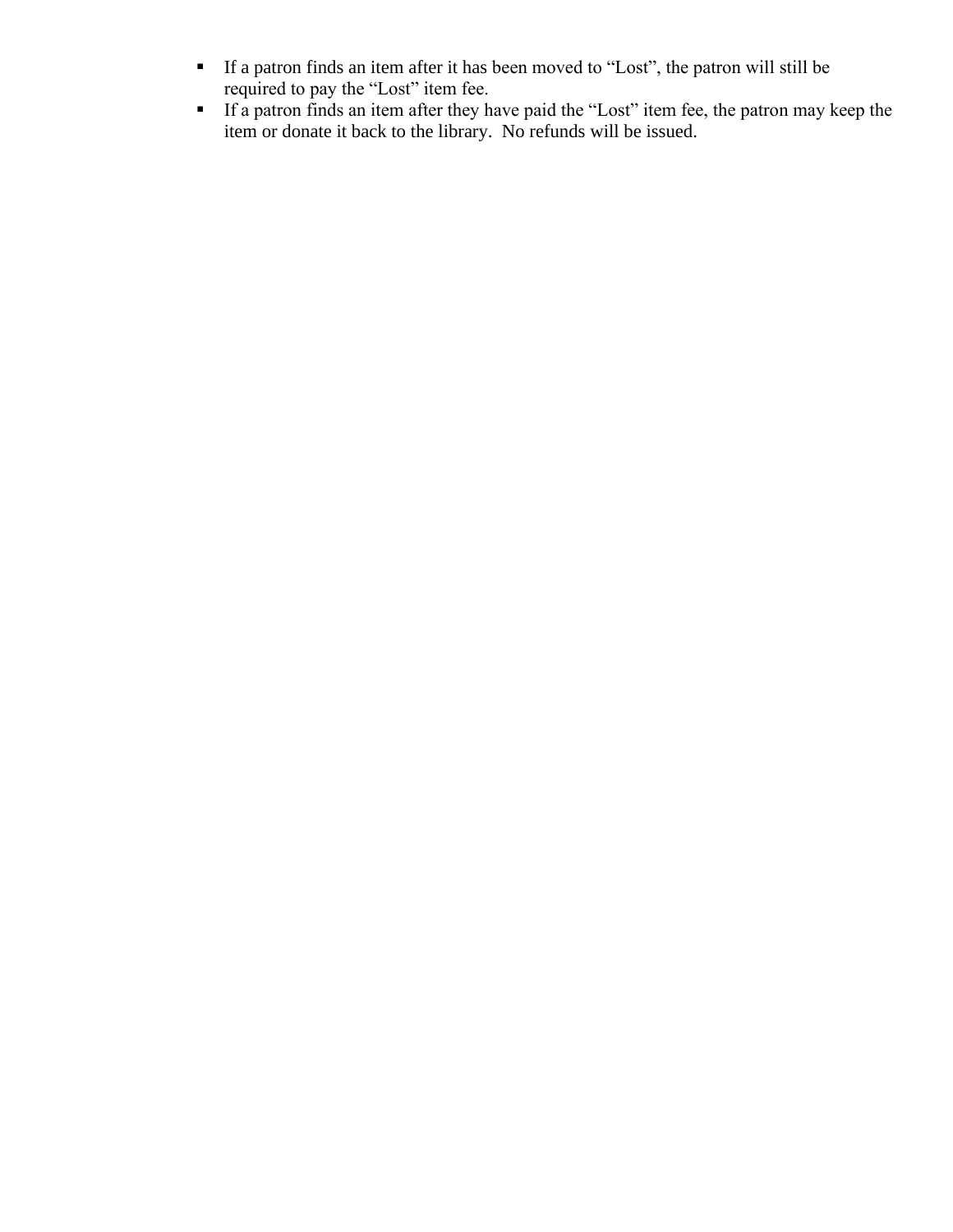- If a patron finds an item after it has been moved to "Lost", the patron will still be required to pay the "Lost" item fee.
- **If a patron finds an item after they have paid the "Lost" item fee, the patron may keep the** item or donate it back to the library. No refunds will be issued.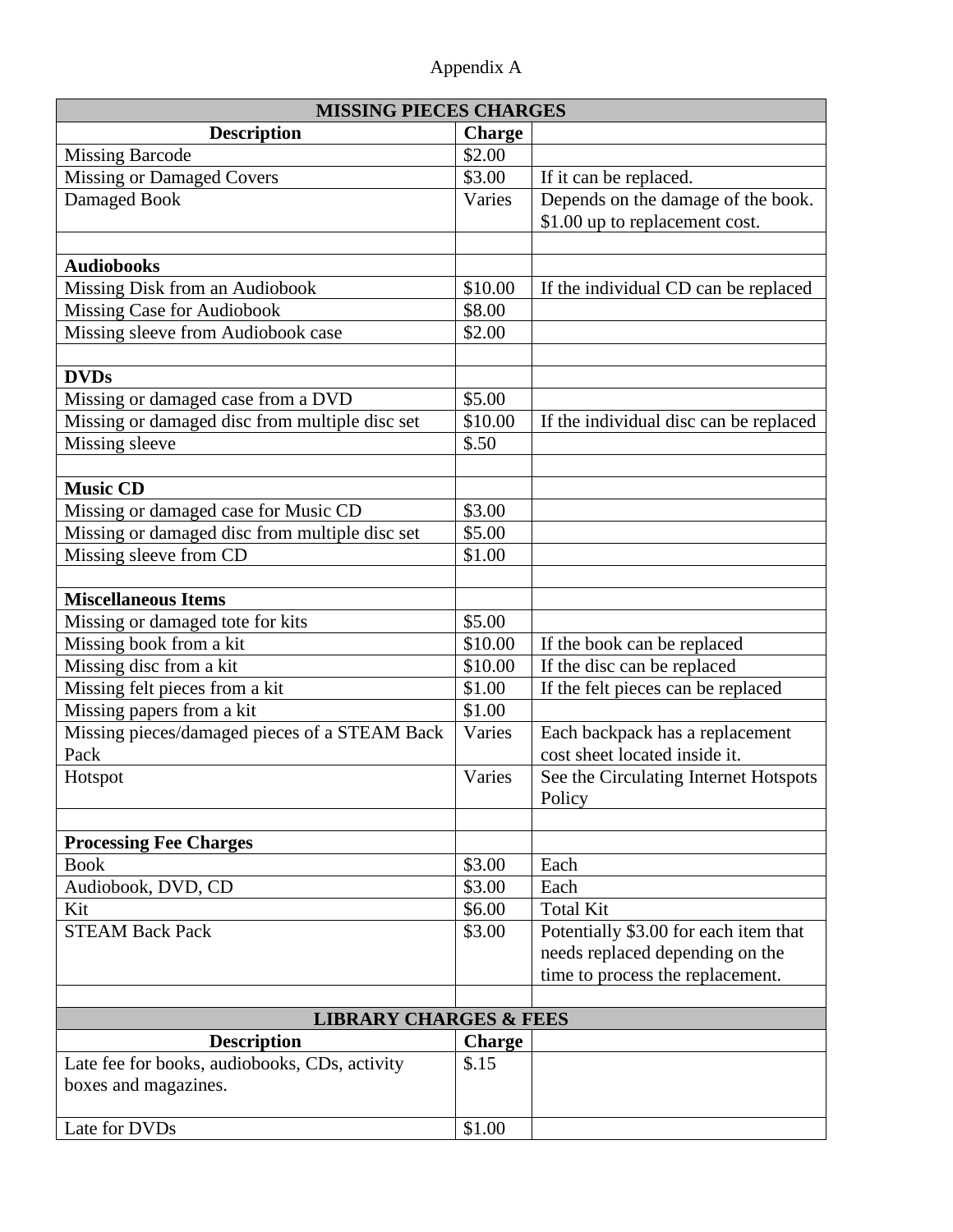| Appendix A |  |
|------------|--|
|------------|--|

| <b>MISSING PIECES CHARGES</b>                  |               |                                        |  |  |
|------------------------------------------------|---------------|----------------------------------------|--|--|
| <b>Description</b>                             | <b>Charge</b> |                                        |  |  |
| <b>Missing Barcode</b>                         | \$2.00        |                                        |  |  |
| <b>Missing or Damaged Covers</b>               | \$3.00        | If it can be replaced.                 |  |  |
| Damaged Book                                   | Varies        | Depends on the damage of the book.     |  |  |
|                                                |               | \$1.00 up to replacement cost.         |  |  |
|                                                |               |                                        |  |  |
| <b>Audiobooks</b>                              |               |                                        |  |  |
| Missing Disk from an Audiobook                 | \$10.00       | If the individual CD can be replaced   |  |  |
| <b>Missing Case for Audiobook</b>              | \$8.00        |                                        |  |  |
| Missing sleeve from Audiobook case             | \$2.00        |                                        |  |  |
|                                                |               |                                        |  |  |
| <b>DVDs</b>                                    |               |                                        |  |  |
| Missing or damaged case from a DVD             | \$5.00        |                                        |  |  |
| Missing or damaged disc from multiple disc set | \$10.00       | If the individual disc can be replaced |  |  |
| Missing sleeve                                 | \$.50         |                                        |  |  |
|                                                |               |                                        |  |  |
| <b>Music CD</b>                                |               |                                        |  |  |
| Missing or damaged case for Music CD           | \$3.00        |                                        |  |  |
| Missing or damaged disc from multiple disc set | \$5.00        |                                        |  |  |
| Missing sleeve from CD                         | \$1.00        |                                        |  |  |
|                                                |               |                                        |  |  |
| <b>Miscellaneous Items</b>                     |               |                                        |  |  |
| Missing or damaged tote for kits               | \$5.00        |                                        |  |  |
| Missing book from a kit                        | \$10.00       | If the book can be replaced            |  |  |
| Missing disc from a kit                        | \$10.00       | If the disc can be replaced            |  |  |
| Missing felt pieces from a kit                 | \$1.00        | If the felt pieces can be replaced     |  |  |
| Missing papers from a kit                      | \$1.00        |                                        |  |  |
| Missing pieces/damaged pieces of a STEAM Back  | Varies        | Each backpack has a replacement        |  |  |
| Pack                                           |               | cost sheet located inside it.          |  |  |
| Hotspot                                        | Varies        | See the Circulating Internet Hotspots  |  |  |
|                                                |               | Policy                                 |  |  |
|                                                |               |                                        |  |  |
| <b>Processing Fee Charges</b>                  |               |                                        |  |  |
| <b>Book</b>                                    | \$3.00        | Each                                   |  |  |
| Audiobook, DVD, CD                             | \$3.00        | Each                                   |  |  |
| Kit                                            | \$6.00        | <b>Total Kit</b>                       |  |  |
| <b>STEAM Back Pack</b>                         | \$3.00        | Potentially \$3.00 for each item that  |  |  |
|                                                |               | needs replaced depending on the        |  |  |
|                                                |               | time to process the replacement.       |  |  |
|                                                |               |                                        |  |  |
| <b>LIBRARY CHARGES &amp; FEES</b>              |               |                                        |  |  |
| <b>Description</b>                             | <b>Charge</b> |                                        |  |  |
| Late fee for books, audiobooks, CDs, activity  | \$.15         |                                        |  |  |
| boxes and magazines.                           |               |                                        |  |  |
|                                                |               |                                        |  |  |
| Late for DVDs                                  | \$1.00        |                                        |  |  |